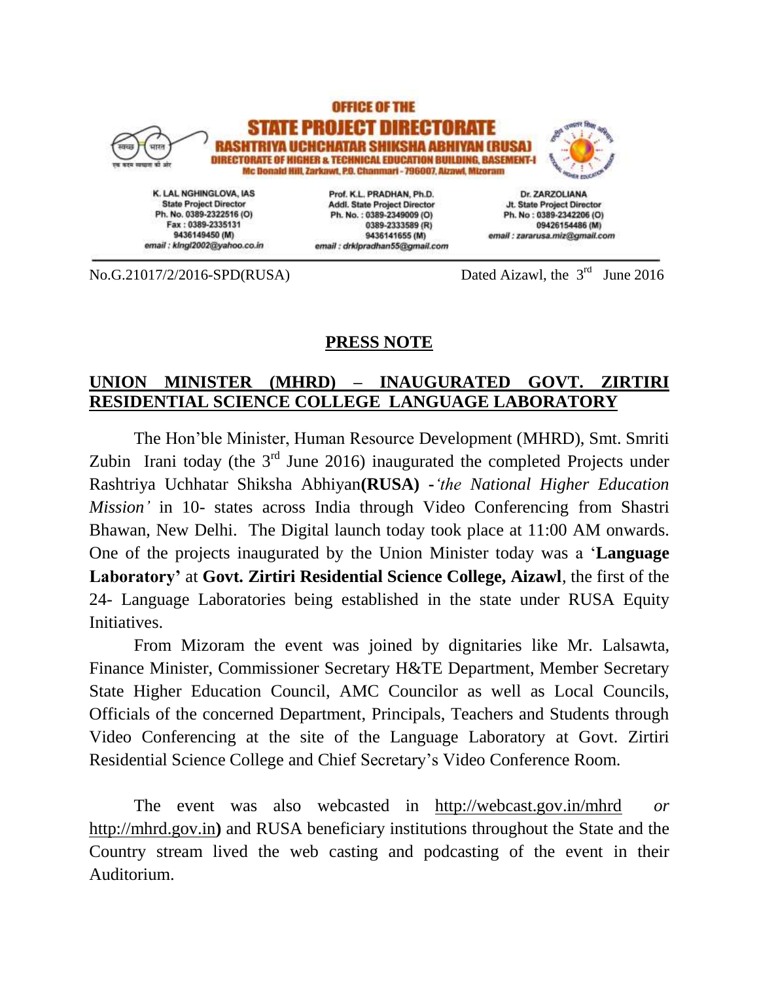

**State Project Director** Ph. No. 0389-2322516 (O) Fax: 0389-2335131 9436149450 (M) email : kingl2002@yahoo.co.in

Addl. State Project Director Ph. No.: 0389-2349009 (O) 0389-2333589 (R) 9436141655 (M) email : drklpradhan55@gmail.com

Ph. No: 0389-2342206 (O) 09426154486 (M) email : zararusa.miz@gmail.com

 $No.G.21017/2/2016-SPD(RUSA)$ 

<sup>rd</sup> June 2016

## **PRESS NOTE**

## **UNION MINISTER (MHRD) – INAUGURATED GOVT. ZIRTIRI RESIDENTIAL SCIENCE COLLEGE LANGUAGE LABORATORY**

The Hon'ble Minister, Human Resource Development (MHRD), Smt. Smriti Zubin Irani today (the  $3<sup>rd</sup>$  June 2016) inaugurated the completed Projects under Rashtriya Uchhatar Shiksha Abhiyan**(RUSA) -***'the National Higher Education Mission'* in 10- states across India through Video Conferencing from Shastri Bhawan, New Delhi. The Digital launch today took place at 11:00 AM onwards. One of the projects inaugurated by the Union Minister today was a '**Language Laboratory'** at **Govt. Zirtiri Residential Science College, Aizawl**, the first of the 24- Language Laboratories being established in the state under RUSA Equity Initiatives.

From Mizoram the event was joined by dignitaries like Mr. Lalsawta, Finance Minister, Commissioner Secretary H&TE Department, Member Secretary State Higher Education Council, AMC Councilor as well as Local Councils, Officials of the concerned Department, Principals, Teachers and Students through Video Conferencing at the site of the Language Laboratory at Govt. Zirtiri Residential Science College and Chief Secretary's Video Conference Room.

The event was also webcasted in <http://webcast.gov.in/mhrd>*or* [http://mhrd.gov.in](http://mhrd.gov.in/)**)** and RUSA beneficiary institutions throughout the State and the Country stream lived the web casting and podcasting of the event in their Auditorium.